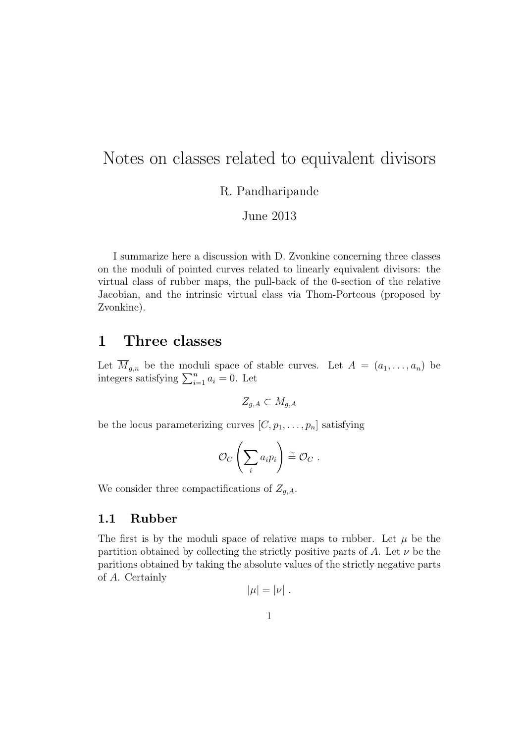# Notes on classes related to equivalent divisors

R. Pandharipande

June 2013

I summarize here a discussion with D. Zvonkine concerning three classes on the moduli of pointed curves related to linearly equivalent divisors: the virtual class of rubber maps, the pull-back of the 0-section of the relative Jacobian, and the intrinsic virtual class via Thom-Porteous (proposed by Zvonkine).

# 1 Three classes

Let  $M_{g,n}$  be the moduli space of stable curves. Let  $A = (a_1, \ldots, a_n)$  be integers satisfying  $\sum_{i=1}^{n} a_i = 0$ . Let

$$
Z_{g,A} \subset M_{g,A}
$$

be the locus parameterizing curves  $[C, p_1, \ldots, p_n]$  satisfying

$$
\mathcal{O}_C\left(\sum_i a_i p_i\right) \stackrel{\sim}{=} \mathcal{O}_C \;.
$$

We consider three compactifications of  $Z_{g,A}$ .

### 1.1 Rubber

The first is by the moduli space of relative maps to rubber. Let  $\mu$  be the partition obtained by collecting the strictly positive parts of A. Let  $\nu$  be the paritions obtained by taking the absolute values of the strictly negative parts of A. Certainly

$$
|\mu|=|\nu|.
$$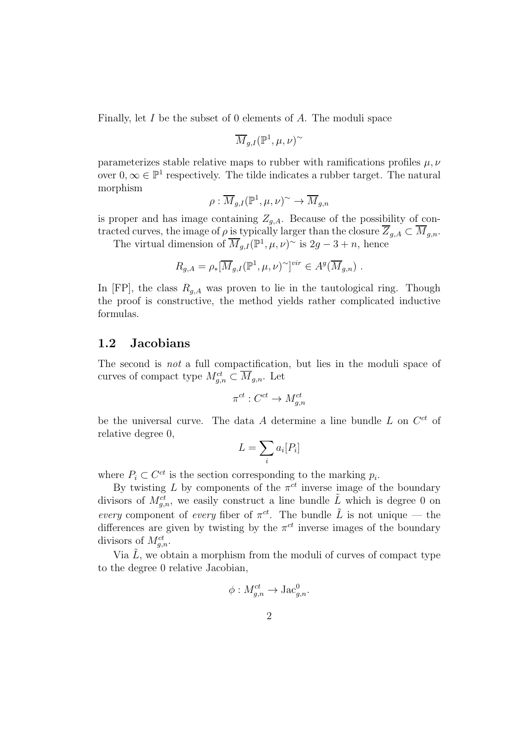Finally, let I be the subset of 0 elements of A. The moduli space

$$
\overline{M}_{g,I}({\mathbb P}^1,\mu,\nu)^\sim
$$

parameterizes stable relative maps to rubber with ramifications profiles  $\mu, \nu$ over  $0, \infty \in \mathbb{P}^1$  respectively. The tilde indicates a rubber target. The natural morphism

$$
\rho: \overline{M}_{g,I}({\mathbb P^1},\mu,\nu)^\sim \to \overline{M}_{g,n}
$$

is proper and has image containing  $Z_{q,A}$ . Because of the possibility of contracted curves, the image of  $\rho$  is typically larger than the closure  $\overline{Z}_{g,A} \subset \overline{M}_{g,n}$ .

The virtual dimension of  $\overline{M}_{g,I}(\mathbb{P}^1,\mu,\nu)$ <sup>~</sup> is  $2g-3+n$ , hence

$$
R_{g,A} = \rho_*[\overline{M}_{g,I}(\mathbb{P}^1,\mu,\nu)^\sim]^{vir} \in A^g(\overline{M}_{g,n}) .
$$

In [FP], the class  $R_{g,A}$  was proven to lie in the tautological ring. Though the proof is constructive, the method yields rather complicated inductive formulas.

#### 1.2 Jacobians

The second is not a full compactification, but lies in the moduli space of curves of compact type  $M_{g,n}^{ct} \subset \overline{M}_{g,n}$ . Let

$$
\pi^{ct}: C^{ct} \to M_{g,n}^{ct}
$$

be the universal curve. The data A determine a line bundle  $L$  on  $C^{ct}$  of relative degree 0,

$$
L = \sum_i a_i [P_i]
$$

where  $P_i \subset C^{ct}$  is the section corresponding to the marking  $p_i$ .

By twisting L by components of the  $\pi^{ct}$  inverse image of the boundary divisors of  $M_{g,n}^{ct}$ , we easily construct a line bundle  $\tilde{L}$  which is degree 0 on every component of every fiber of  $\pi^{ct}$ . The bundle  $\tilde{L}$  is not unique — the differences are given by twisting by the  $\pi^{ct}$  inverse images of the boundary divisors of  $M_{g,n}^{ct}$ .

Via  $\tilde{L}$ , we obtain a morphism from the moduli of curves of compact type to the degree 0 relative Jacobian,

$$
\phi: M_{g,n}^{ct} \to \text{Jac}_{g,n}^0.
$$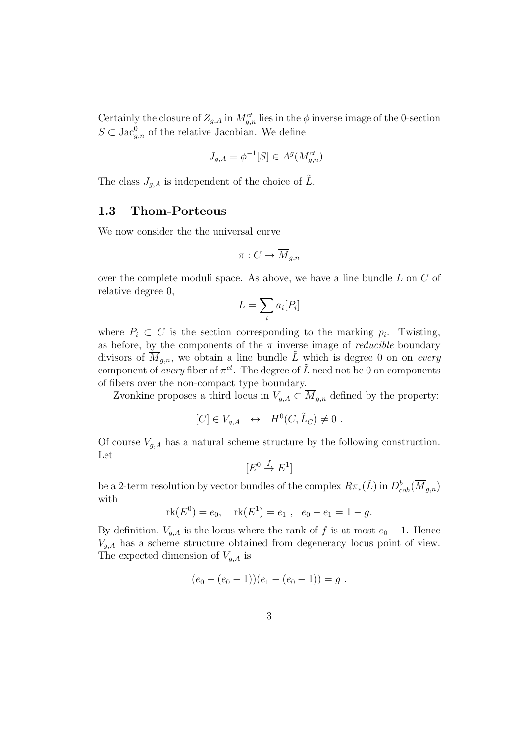Certainly the closure of  $Z_{g,A}$  in  $M_{g,n}^{ct}$  lies in the  $\phi$  inverse image of the 0-section  $S \subset \text{Jac}_{g,n}^0$  of the relative Jacobian. We define

$$
J_{g,A} = \phi^{-1}[S] \in A^g(M_{g,n}^{ct}) \ .
$$

The class  $J_{q,A}$  is independent of the choice of  $\tilde{L}$ .

### 1.3 Thom-Porteous

We now consider the the universal curve

$$
\pi: C \to \overline{M}_{g,n}
$$

over the complete moduli space. As above, we have a line bundle  $L$  on  $C$  of relative degree 0,

$$
L = \sum_i a_i [P_i]
$$

where  $P_i \subset C$  is the section corresponding to the marking  $p_i$ . Twisting, as before, by the components of the  $\pi$  inverse image of *reducible* boundary divisors of  $\overline{M}_{g,n}$ , we obtain a line bundle  $\tilde{L}$  which is degree 0 on on every component of every fiber of  $\pi^{ct}$ . The degree of  $\tilde{L}$  need not be 0 on components of fibers over the non-compact type boundary.

Zvonkine proposes a third locus in  $V_{g,A} \subset \overline{M}_{g,n}$  defined by the property:

$$
[C] \in V_{g,A} \ \leftrightarrow \ H^0(C, \tilde{L}_C) \neq 0 \ .
$$

Of course  $V_{g,A}$  has a natural scheme structure by the following construction. Let

$$
[E^0 \stackrel{f}{\to} E^1]
$$

be a 2-term resolution by vector bundles of the complex  $R\pi_*(\tilde{L})$  in  $D^b_{coh}(\overline{M}_{g,n})$ with

$$
rk(E^0) = e_0
$$
,  $rk(E^1) = e_1$ ,  $e_0 - e_1 = 1 - g$ .

By definition,  $V_{g,A}$  is the locus where the rank of f is at most  $e_0 - 1$ . Hence  $V_{g,A}$  has a scheme structure obtained from degeneracy locus point of view. The expected dimension of  $V_{q,A}$  is

$$
(e_0 - (e_0 - 1))(e_1 - (e_0 - 1)) = g.
$$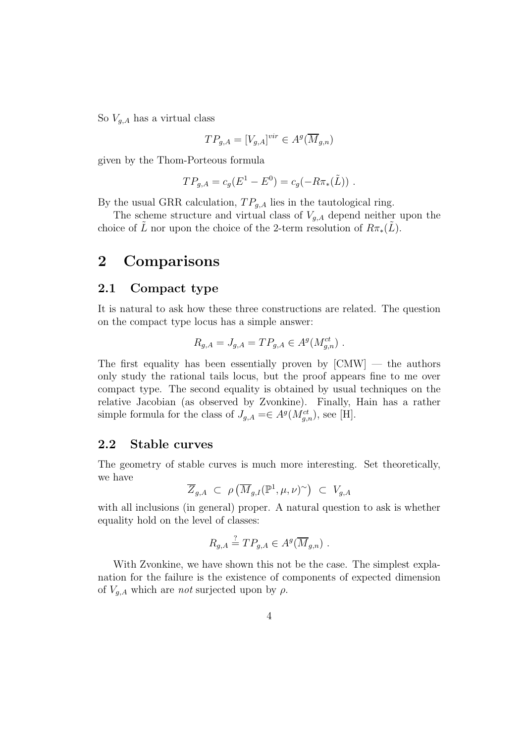So  $V_{q,A}$  has a virtual class

$$
TP_{g,A}=[V_{g,A}]^{vir}\in A^g(\overline{M}_{g,n})
$$

given by the Thom-Porteous formula

$$
TP_{g,A} = c_g(E^1 - E^0) = c_g(-R\pi_*(\tilde{L}))
$$
.

By the usual GRR calculation,  $TP_{g,A}$  lies in the tautological ring.

The scheme structure and virtual class of  $V_{g,A}$  depend neither upon the choice of L nor upon the choice of the 2-term resolution of  $R\pi_*(L)$ .

## 2 Comparisons

#### 2.1 Compact type

It is natural to ask how these three constructions are related. The question on the compact type locus has a simple answer:

$$
R_{g,A} = J_{g,A} = TP_{g,A} \in A^g(M_{g,n}^{ct}) \ .
$$

The first equality has been essentially proven by  $[CMW]$  — the authors only study the rational tails locus, but the proof appears fine to me over compact type. The second equality is obtained by usual techniques on the relative Jacobian (as observed by Zvonkine). Finally, Hain has a rather simple formula for the class of  $J_{g,A} = \in A^g(M_{g,n}^{ct})$ , see [H].

### 2.2 Stable curves

The geometry of stable curves is much more interesting. Set theoretically, we have

$$
\overline{Z}_{g,A} \ \subset \ \rho\left(\overline{M}_{g,I}(\mathbb{P}^1,\mu,\nu)^\sim\right) \ \subset \ V_{g,A}
$$

with all inclusions (in general) proper. A natural question to ask is whether equality hold on the level of classes:

$$
R_{g,A} \stackrel{?}{=} TP_{g,A} \in A^g(\overline{M}_{g,n}) \ .
$$

With Zvonkine, we have shown this not be the case. The simplest explanation for the failure is the existence of components of expected dimension of  $V_{g,A}$  which are *not* surjected upon by  $\rho$ .